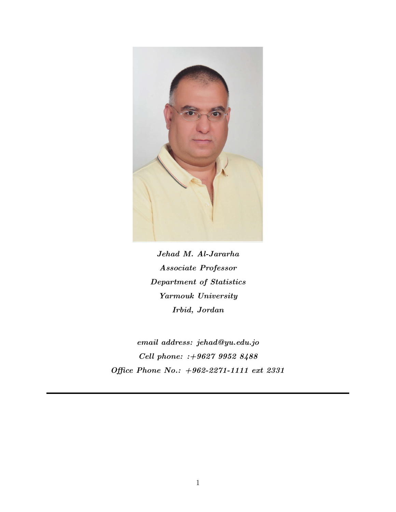

Jehad M. Al-Jararha Associate Professor Department of Statistics Yarmouk University Irbid, Jordan

email address: jehad@yu.edu.jo Cell phone: :+9627 9952 8488 Office Phone No.: +962-2271-1111 ext 2331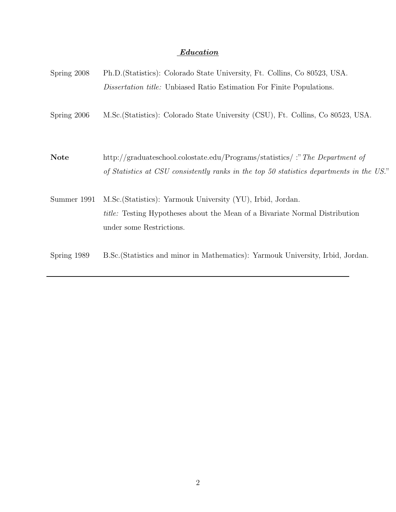# Education

| Spring 2008 | Ph.D. (Statistics): Colorado State University, Ft. Collins, Co 80523, USA.                                                                                                    |
|-------------|-------------------------------------------------------------------------------------------------------------------------------------------------------------------------------|
|             | <i>Dissertation title:</i> Unbiased Ratio Estimation For Finite Populations.                                                                                                  |
| Spring 2006 | M.Sc. (Statistics): Colorado State University (CSU), Ft. Collins, Co 80523, USA.                                                                                              |
| <b>Note</b> | http://graduateschool.colostate.edu/Programs/statistics/:" The Department of<br>of Statistics at CSU consistently ranks in the top 50 statistics departments in the US."      |
| Summer 1991 | M.Sc. (Statistics): Yarmouk University (YU), Irbid, Jordan.<br><i>title:</i> Testing Hypotheses about the Mean of a Bivariate Normal Distribution<br>under some Restrictions. |
| Spring 1989 | B.Sc. (Statistics and minor in Mathematics): Yarmouk University, Irbid, Jordan.                                                                                               |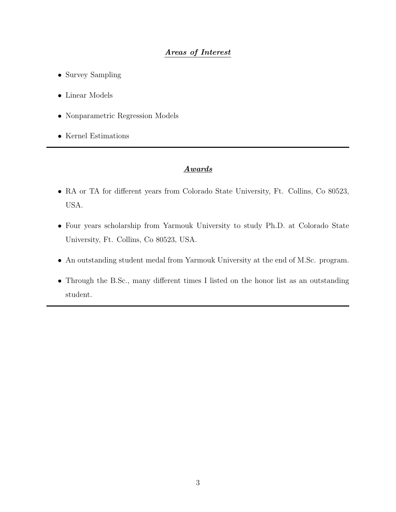# Areas of Interest

- Survey Sampling
- Linear Models
- Nonparametric Regression Models
- Kernel Estimations

## Awards

- RA or TA for different years from Colorado State University, Ft. Collins, Co 80523, USA.
- Four years scholarship from Yarmouk University to study Ph.D. at Colorado State University, Ft. Collins, Co 80523, USA.
- An outstanding student medal from Yarmouk University at the end of M.Sc. program.
- Through the B.Sc., many different times I listed on the honor list as an outstanding student.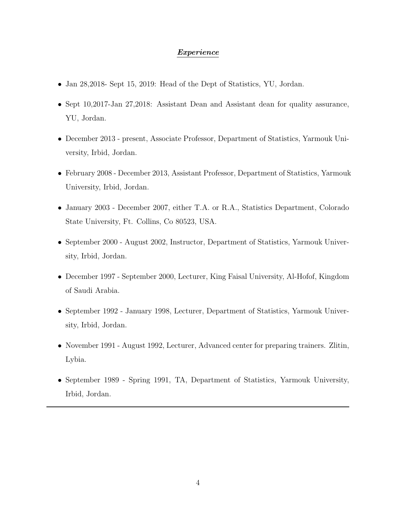## Experience

- Jan 28,2018- Sept 15, 2019: Head of the Dept of Statistics, YU, Jordan.
- Sept 10,2017-Jan 27,2018: Assistant Dean and Assistant dean for quality assurance, YU, Jordan.
- December 2013 present, Associate Professor, Department of Statistics, Yarmouk University, Irbid, Jordan.
- February 2008 December 2013, Assistant Professor, Department of Statistics, Yarmouk University, Irbid, Jordan.
- January 2003 December 2007, either T.A. or R.A., Statistics Department, Colorado State University, Ft. Collins, Co 80523, USA.
- September 2000 August 2002, Instructor, Department of Statistics, Yarmouk University, Irbid, Jordan.
- December 1997 September 2000, Lecturer, King Faisal University, Al-Hofof, Kingdom of Saudi Arabia.
- September 1992 January 1998, Lecturer, Department of Statistics, Yarmouk University, Irbid, Jordan.
- November 1991 August 1992, Lecturer, Advanced center for preparing trainers. Zlitin, Lybia.
- September 1989 Spring 1991, TA, Department of Statistics, Yarmouk University, Irbid, Jordan.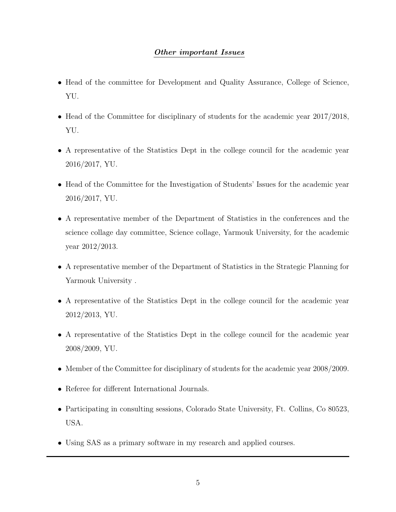# Other important Issues

- Head of the committee for Development and Quality Assurance, College of Science, YU.
- Head of the Committee for disciplinary of students for the academic year 2017/2018, YU.
- A representative of the Statistics Dept in the college council for the academic year 2016/2017, YU.
- Head of the Committee for the Investigation of Students' Issues for the academic year 2016/2017, YU.
- A representative member of the Department of Statistics in the conferences and the science collage day committee, Science collage, Yarmouk University, for the academic year 2012/2013.
- A representative member of the Department of Statistics in the Strategic Planning for Yarmouk University .
- A representative of the Statistics Dept in the college council for the academic year 2012/2013, YU.
- A representative of the Statistics Dept in the college council for the academic year 2008/2009, YU.
- Member of the Committee for disciplinary of students for the academic year 2008/2009.
- Referee for different International Journals.
- Participating in consulting sessions, Colorado State University, Ft. Collins, Co 80523, USA.
- Using SAS as a primary software in my research and applied courses.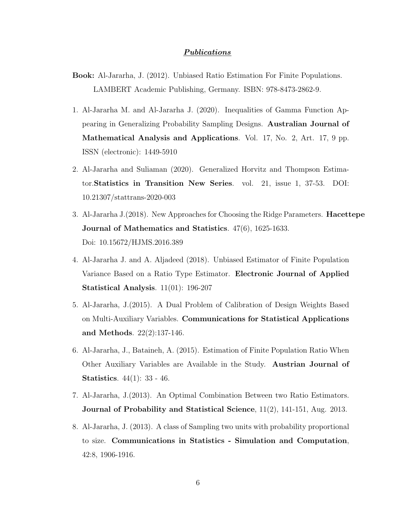### Publications

- Book: Al-Jararha, J. (2012). Unbiased Ratio Estimation For Finite Populations. LAMBERT Academic Publishing, Germany. ISBN: 978-8473-2862-9.
- 1. Al-Jararha M. and Al-Jararha J. (2020). Inequalities of Gamma Function Appearing in Generalizing Probability Sampling Designs. Australian Journal of Mathematical Analysis and Applications. Vol. 17, No. 2, Art. 17, 9 pp. ISSN (electronic): 1449-5910
- 2. Al-Jararha and Suliaman (2020). Generalized Horvitz and Thompson Estimator.Statistics in Transition New Series. vol. 21, issue 1, 37-53. DOI: 10.21307/stattrans-2020-003
- 3. Al-Jararha J.(2018). New Approaches for Choosing the Ridge Parameters. Hacettepe Journal of Mathematics and Statistics. 47(6), 1625-1633. Doi: 10.15672/HJMS.2016.389
- 4. Al-Jararha J. and A. Aljadeed (2018). Unbiased Estimator of Finite Population Variance Based on a Ratio Type Estimator. Electronic Journal of Applied Statistical Analysis. 11(01): 196-207
- 5. Al-Jararha, J.(2015). A Dual Problem of Calibration of Design Weights Based on Multi-Auxiliary Variables. Communications for Statistical Applications and Methods. 22(2):137-146.
- 6. Al-Jararha, J., Bataineh, A. (2015). Estimation of Finite Population Ratio When Other Auxiliary Variables are Available in the Study. Austrian Journal of Statistics. 44(1): 33 - 46.
- 7. Al-Jararha, J.(2013). An Optimal Combination Between two Ratio Estimators. Journal of Probability and Statistical Science, 11(2), 141-151, Aug. 2013.
- 8. Al-Jararha, J. (2013). A class of Sampling two units with probability proportional to size. Communications in Statistics - Simulation and Computation, 42:8, 1906-1916.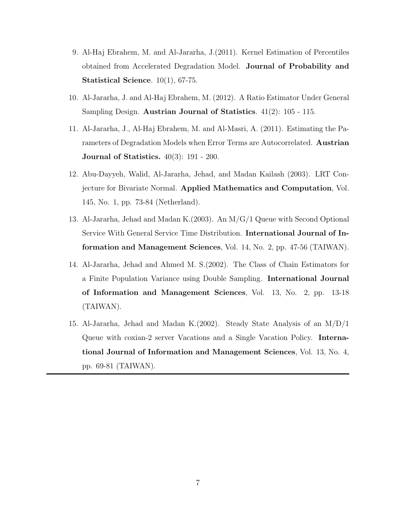- 9. Al-Haj Ebrahem, M. and Al-Jararha, J.(2011). Kernel Estimation of Percentiles obtained from Accelerated Degradation Model. Journal of Probability and Statistical Science. 10(1), 67-75.
- 10. Al-Jararha, J. and Al-Haj Ebrahem, M. (2012). A Ratio Estimator Under General Sampling Design. Austrian Journal of Statistics. 41(2): 105 - 115.
- 11. Al-Jararha, J., Al-Haj Ebrahem, M. and Al-Masri, A. (2011). Estimating the Parameters of Degradation Models when Error Terms are Autocorrelated. Austrian Journal of Statistics. 40(3): 191 - 200.
- 12. Abu-Dayyeh, Walid, Al-Jararha, Jehad, and Madan Kailash (2003). LRT Conjecture for Bivariate Normal. Applied Mathematics and Computation, Vol. 145, No. 1, pp. 73-84 (Netherland).
- 13. Al-Jararha, Jehad and Madan K.(2003). An M/G/1 Queue with Second Optional Service With General Service Time Distribution. International Journal of Information and Management Sciences, Vol. 14, No. 2, pp. 47-56 (TAIWAN).
- 14. Al-Jararha, Jehad and Ahmed M. S.(2002). The Class of Chain Estimators for a Finite Population Variance using Double Sampling. International Journal of Information and Management Sciences, Vol. 13, No. 2, pp. 13-18 (TAIWAN).
- 15. Al-Jararha, Jehad and Madan K.(2002). Steady State Analysis of an M/D/1 Queue with coxian-2 server Vacations and a Single Vacation Policy. International Journal of Information and Management Sciences, Vol. 13, No. 4, pp. 69-81 (TAIWAN).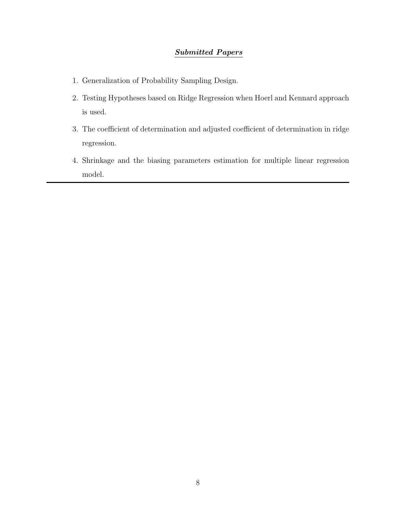# Submitted Papers

- 1. Generalization of Probability Sampling Design.
- 2. Testing Hypotheses based on Ridge Regression when Hoerl and Kennard approach is used.
- 3. The coefficient of determination and adjusted coefficient of determination in ridge regression.
- 4. Shrinkage and the biasing parameters estimation for multiple linear regression model.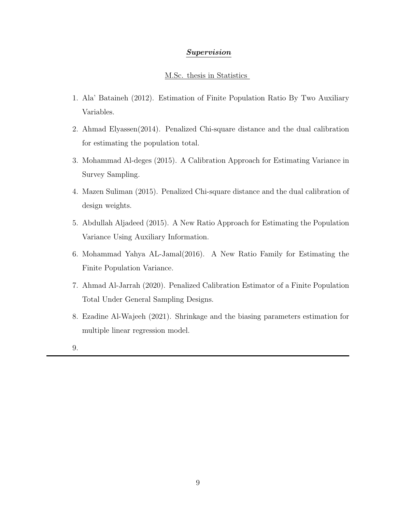## Supervision

### M.Sc. thesis in Statistics

- 1. Ala' Bataineh (2012). Estimation of Finite Population Ratio By Two Auxiliary Variables.
- 2. Ahmad Elyassen(2014). Penalized Chi-square distance and the dual calibration for estimating the population total.
- 3. Mohammad Al-deges (2015). A Calibration Approach for Estimating Variance in Survey Sampling.
- 4. Mazen Suliman (2015). Penalized Chi-square distance and the dual calibration of design weights.
- 5. Abdullah Aljadeed (2015). A New Ratio Approach for Estimating the Population Variance Using Auxiliary Information.
- 6. Mohammad Yahya AL-Jamal(2016). A New Ratio Family for Estimating the Finite Population Variance.
- 7. Ahmad Al-Jarrah (2020). Penalized Calibration Estimator of a Finite Population Total Under General Sampling Designs.
- 8. Ezadine Al-Wajeeh (2021). Shrinkage and the biasing parameters estimation for multiple linear regression model.
- 9.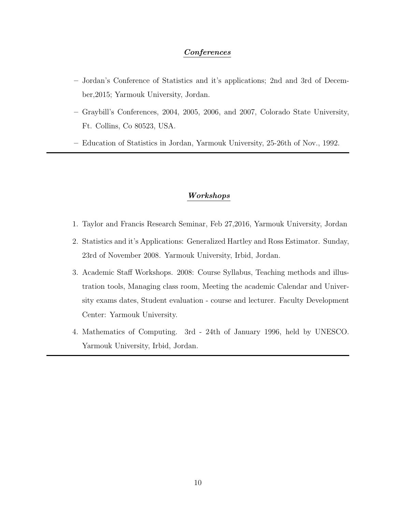## Conferences

- Jordan's Conference of Statistics and it's applications; 2nd and 3rd of December,2015; Yarmouk University, Jordan.
- Graybill's Conferences, 2004, 2005, 2006, and 2007, Colorado State University, Ft. Collins, Co 80523, USA.
- Education of Statistics in Jordan, Yarmouk University, 25-26th of Nov., 1992.

### Workshops

- 1. Taylor and Francis Research Seminar, Feb 27,2016, Yarmouk University, Jordan
- 2. Statistics and it's Applications: Generalized Hartley and Ross Estimator. Sunday, 23rd of November 2008. Yarmouk University, Irbid, Jordan.
- 3. Academic Staff Workshops. 2008: Course Syllabus, Teaching methods and illustration tools, Managing class room, Meeting the academic Calendar and University exams dates, Student evaluation - course and lecturer. Faculty Development Center: Yarmouk University.
- 4. Mathematics of Computing. 3rd 24th of January 1996, held by UNESCO. Yarmouk University, Irbid, Jordan.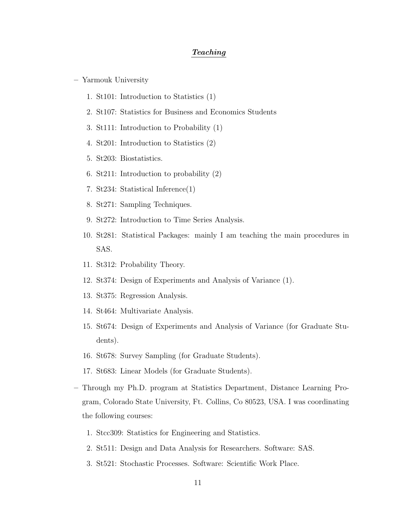#### Teaching

- Yarmouk University
	- 1. St101: Introduction to Statistics (1)
	- 2. St107: Statistics for Business and Economics Students
	- 3. St111: Introduction to Probability (1)
	- 4. St201: Introduction to Statistics (2)
	- 5. St203: Biostatistics.
	- 6. St211: Introduction to probability (2)
	- 7. St234: Statistical Inference(1)
	- 8. St271: Sampling Techniques.
	- 9. St272: Introduction to Time Series Analysis.
	- 10. St281: Statistical Packages: mainly I am teaching the main procedures in SAS.
	- 11. St312: Probability Theory.
	- 12. St374: Design of Experiments and Analysis of Variance (1).
	- 13. St375: Regression Analysis.
	- 14. St464: Multivariate Analysis.
	- 15. St674: Design of Experiments and Analysis of Variance (for Graduate Students).
	- 16. St678: Survey Sampling (for Graduate Students).
	- 17. St683: Linear Models (for Graduate Students).
- Through my Ph.D. program at Statistics Department, Distance Learning Program, Colorado State University, Ft. Collins, Co 80523, USA. I was coordinating the following courses:
	- 1. Stcc309: Statistics for Engineering and Statistics.
	- 2. St511: Design and Data Analysis for Researchers. Software: SAS.
	- 3. St521: Stochastic Processes. Software: Scientific Work Place.